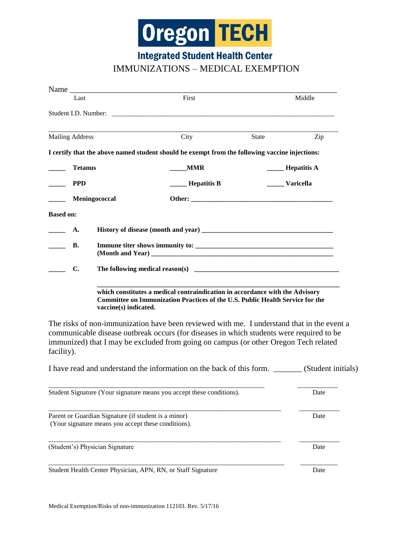

**Integrated Student Health Center** 

## IMMUNIZATIONS – MEDICAL EXEMPTION

|                                                                                                             | Last                        |                                                                                                                                                                                               | First                                                                                                                                                                                                                                                                          |                   | Middle          |
|-------------------------------------------------------------------------------------------------------------|-----------------------------|-----------------------------------------------------------------------------------------------------------------------------------------------------------------------------------------------|--------------------------------------------------------------------------------------------------------------------------------------------------------------------------------------------------------------------------------------------------------------------------------|-------------------|-----------------|
|                                                                                                             |                             |                                                                                                                                                                                               |                                                                                                                                                                                                                                                                                |                   |                 |
|                                                                                                             | <b>Mailing Address</b>      |                                                                                                                                                                                               | City                                                                                                                                                                                                                                                                           | State             | Zip             |
|                                                                                                             |                             |                                                                                                                                                                                               | I certify that the above named student should be exempt from the following vaccine injections:                                                                                                                                                                                 |                   |                 |
|                                                                                                             | <b>Tetanus</b>              |                                                                                                                                                                                               | <b>MMR</b>                                                                                                                                                                                                                                                                     | _____ Hepatitis A |                 |
|                                                                                                             | <b>PPD</b><br>Meningococcal |                                                                                                                                                                                               | <b>Mepatitis B</b>                                                                                                                                                                                                                                                             |                   | _____ Varicella |
|                                                                                                             |                             |                                                                                                                                                                                               |                                                                                                                                                                                                                                                                                |                   |                 |
| <b>Based on:</b>                                                                                            |                             |                                                                                                                                                                                               |                                                                                                                                                                                                                                                                                |                   |                 |
|                                                                                                             | A.                          |                                                                                                                                                                                               |                                                                                                                                                                                                                                                                                |                   |                 |
| $\frac{1}{2}$                                                                                               | <b>B.</b>                   |                                                                                                                                                                                               |                                                                                                                                                                                                                                                                                |                   |                 |
|                                                                                                             | $\mathbf{C}$ .              |                                                                                                                                                                                               |                                                                                                                                                                                                                                                                                |                   |                 |
|                                                                                                             |                             | which constitutes a medical contraindication in accordance with the Advisory<br><b>Committee on Immunization Practices of the U.S. Public Health Service for the</b><br>vaccine(s) indicated. |                                                                                                                                                                                                                                                                                |                   |                 |
| facility).                                                                                                  |                             |                                                                                                                                                                                               | The risks of non-immunization have been reviewed with me. I understand that in the event a<br>communicable disease outbreak occurs (for diseases in which students were required to be<br>immunized) that I may be excluded from going on campus (or other Oregon Tech related |                   |                 |
|                                                                                                             |                             |                                                                                                                                                                                               | I have read and understand the information on the back of this form. _______ (Student initials)                                                                                                                                                                                |                   |                 |
| Student Signature (Your signature means you accept these conditions).                                       |                             |                                                                                                                                                                                               |                                                                                                                                                                                                                                                                                |                   | Date            |
| Parent or Guardian Signature (if student is a minor)<br>(Your signature means you accept these conditions). |                             |                                                                                                                                                                                               |                                                                                                                                                                                                                                                                                |                   | Date            |
| (Student's) Physician Signature                                                                             |                             |                                                                                                                                                                                               |                                                                                                                                                                                                                                                                                |                   | Date            |
|                                                                                                             |                             |                                                                                                                                                                                               | Student Health Center Physician, APN, RN, or Staff Signature                                                                                                                                                                                                                   |                   | Date            |